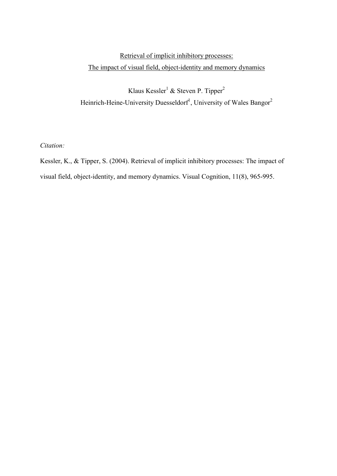# Retrieval of implicit inhibitory processes: The impact of visual field, object-identity and memory dynamics

Klaus Kessler<sup>1</sup> & Steven P. Tipper<sup>2</sup> Heinrich-Heine-University Duesseldorf<sup>1</sup>, University of Wales Bangor<sup>2</sup>

*Citation:* 

Kessler, K., & Tipper, S. (2004). Retrieval of implicit inhibitory processes: The impact of visual field, object-identity, and memory dynamics. Visual Cognition, 11(8), 965-995.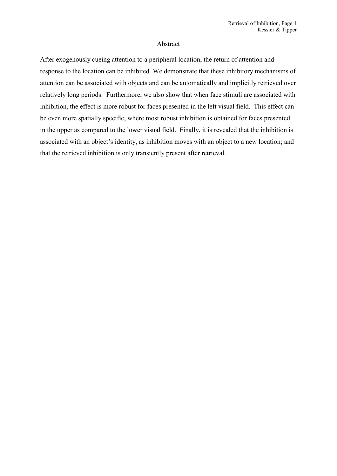#### Abstract

After exogenously cueing attention to a peripheral location, the return of attention and response to the location can be inhibited. We demonstrate that these inhibitory mechanisms of attention can be associated with objects and can be automatically and implicitly retrieved over relatively long periods. Furthermore, we also show that when face stimuli are associated with inhibition, the effect is more robust for faces presented in the left visual field. This effect can be even more spatially specific, where most robust inhibition is obtained for faces presented in the upper as compared to the lower visual field. Finally, it is revealed that the inhibition is associated with an object's identity, as inhibition moves with an object to a new location; and that the retrieved inhibition is only transiently present after retrieval.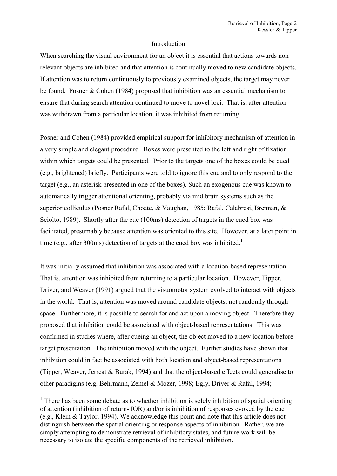# Introduction

When searching the visual environment for an object it is essential that actions towards nonrelevant objects are inhibited and that attention is continually moved to new candidate objects. If attention was to return continuously to previously examined objects, the target may never be found. Posner & Cohen (1984) proposed that inhibition was an essential mechanism to ensure that during search attention continued to move to novel loci. That is, after attention was withdrawn from a particular location, it was inhibited from returning.

Posner and Cohen (1984) provided empirical support for inhibitory mechanism of attention in a very simple and elegant procedure. Boxes were presented to the left and right of fixation within which targets could be presented. Prior to the targets one of the boxes could be cued (e.g., brightened) briefly. Participants were told to ignore this cue and to only respond to the target (e.g., an asterisk presented in one of the boxes). Such an exogenous cue was known to automatically trigger attentional orienting, probably via mid brain systems such as the superior colliculus (Posner Rafal, Choate, & Vaughan, 1985; Rafal, Calabresi, Brennan, & Sciolto, 1989). Shortly after the cue (100ms) detection of targets in the cued box was facilitated, presumably because attention was oriented to this site. However, at a later point in time (e.g., after 300ms) detection of targets at the cued box was inhibited**.** 1

It was initially assumed that inhibition was associated with a location-based representation. That is, attention was inhibited from returning to a particular location. However, Tipper, Driver, and Weaver (1991) argued that the visuomotor system evolved to interact with objects in the world. That is, attention was moved around candidate objects, not randomly through space. Furthermore, it is possible to search for and act upon a moving object. Therefore they proposed that inhibition could be associated with object-based representations. This was confirmed in studies where, after cueing an object, the object moved to a new location before target presentation. The inhibition moved with the object. Further studies have shown that inhibition could in fact be associated with both location and object-based representations **(**Tipper, Weaver, Jerreat & Burak, 1994) and that the object-based effects could generalise to other paradigms (e.g. Behrmann, Zemel & Mozer, 1998; Egly, Driver & Rafal, 1994;

 $\overline{a}$ 

<sup>&</sup>lt;sup>1</sup> There has been some debate as to whether inhibition is solely inhibition of spatial orienting of attention (inhibition of return- IOR) and/or is inhibition of responses evoked by the cue (e.g., Klein & Taylor, 1994). We acknowledge this point and note that this article does not distinguish between the spatial orienting or response aspects of inhibition. Rather, we are simply attempting to demonstrate retrieval of inhibitory states, and future work will be necessary to isolate the specific components of the retrieved inhibition.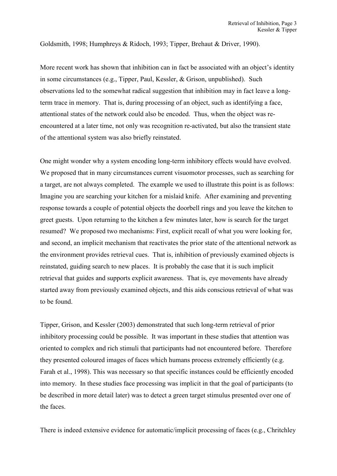Goldsmith, 1998; Humphreys & Ridoch, 1993; Tipper, Brehaut & Driver, 1990).

More recent work has shown that inhibition can in fact be associated with an object's identity in some circumstances (e.g., Tipper, Paul, Kessler, & Grison, unpublished). Such observations led to the somewhat radical suggestion that inhibition may in fact leave a longterm trace in memory. That is, during processing of an object, such as identifying a face, attentional states of the network could also be encoded. Thus, when the object was reencountered at a later time, not only was recognition re-activated, but also the transient state of the attentional system was also briefly reinstated.

One might wonder why a system encoding long-term inhibitory effects would have evolved. We proposed that in many circumstances current visuomotor processes, such as searching for a target, are not always completed. The example we used to illustrate this point is as follows: Imagine you are searching your kitchen for a mislaid knife. After examining and preventing response towards a couple of potential objects the doorbell rings and you leave the kitchen to greet guests. Upon returning to the kitchen a few minutes later, how is search for the target resumed? We proposed two mechanisms: First, explicit recall of what you were looking for, and second, an implicit mechanism that reactivates the prior state of the attentional network as the environment provides retrieval cues. That is, inhibition of previously examined objects is reinstated, guiding search to new places. It is probably the case that it is such implicit retrieval that guides and supports explicit awareness. That is, eye movements have already started away from previously examined objects, and this aids conscious retrieval of what was to be found.

Tipper, Grison, and Kessler (2003) demonstrated that such long-term retrieval of prior inhibitory processing could be possible. It was important in these studies that attention was oriented to complex and rich stimuli that participants had not encountered before. Therefore they presented coloured images of faces which humans process extremely efficiently (e.g. Farah et al., 1998). This was necessary so that specific instances could be efficiently encoded into memory. In these studies face processing was implicit in that the goal of participants (to be described in more detail later) was to detect a green target stimulus presented over one of the faces.

There is indeed extensive evidence for automatic/implicit processing of faces (e.g., Chritchley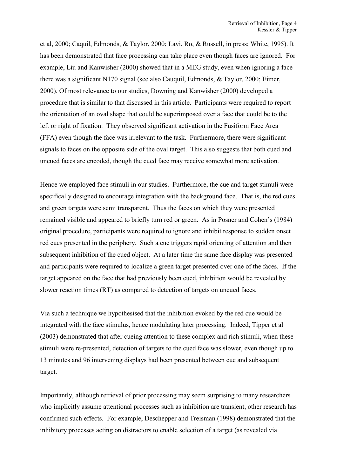et al, 2000; Caquil, Edmonds, & Taylor, 2000; Lavi, Ro, & Russell, in press; White, 1995). It has been demonstrated that face processing can take place even though faces are ignored. For example, Liu and Kanwisher (2000) showed that in a MEG study, even when ignoring a face there was a significant N170 signal (see also Cauquil, Edmonds, & Taylor, 2000; Eimer, 2000). Of most relevance to our studies, Downing and Kanwisher (2000) developed a procedure that is similar to that discussed in this article. Participants were required to report the orientation of an oval shape that could be superimposed over a face that could be to the left or right of fixation. They observed significant activation in the Fusiform Face Area (FFA) even though the face was irrelevant to the task. Furthermore, there were significant signals to faces on the opposite side of the oval target. This also suggests that both cued and uncued faces are encoded, though the cued face may receive somewhat more activation.

Hence we employed face stimuli in our studies. Furthermore, the cue and target stimuli were specifically designed to encourage integration with the background face. That is, the red cues and green targets were semi transparent. Thus the faces on which they were presented remained visible and appeared to briefly turn red or green. As in Posner and Cohen's (1984) original procedure, participants were required to ignore and inhibit response to sudden onset red cues presented in the periphery. Such a cue triggers rapid orienting of attention and then subsequent inhibition of the cued object. At a later time the same face display was presented and participants were required to localize a green target presented over one of the faces. If the target appeared on the face that had previously been cued, inhibition would be revealed by slower reaction times (RT) as compared to detection of targets on uncued faces.

Via such a technique we hypothesised that the inhibition evoked by the red cue would be integrated with the face stimulus, hence modulating later processing. Indeed, Tipper et al (2003) demonstrated that after cueing attention to these complex and rich stimuli, when these stimuli were re-presented, detection of targets to the cued face was slower, even though up to 13 minutes and 96 intervening displays had been presented between cue and subsequent target.

Importantly, although retrieval of prior processing may seem surprising to many researchers who implicitly assume attentional processes such as inhibition are transient, other research has confirmed such effects. For example, Deschepper and Treisman (1998) demonstrated that the inhibitory processes acting on distractors to enable selection of a target (as revealed via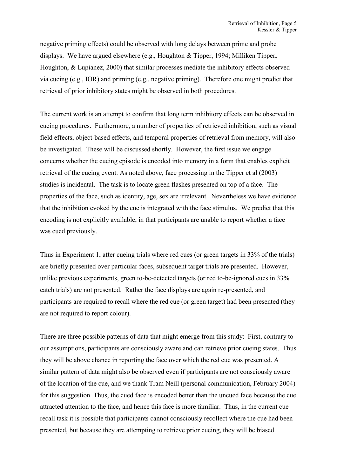negative priming effects) could be observed with long delays between prime and probe displays. We have argued elsewhere (e.g., Houghton & Tipper, 1994; Milliken Tipper**,** Houghton, & Lupianez, 2000) that similar processes mediate the inhibitory effects observed via cueing (e.g., IOR) and priming (e.g., negative priming). Therefore one might predict that retrieval of prior inhibitory states might be observed in both procedures.

The current work is an attempt to confirm that long term inhibitory effects can be observed in cueing procedures. Furthermore, a number of properties of retrieved inhibition, such as visual field effects, object-based effects, and temporal properties of retrieval from memory, will also be investigated. These will be discussed shortly. However, the first issue we engage concerns whether the cueing episode is encoded into memory in a form that enables explicit retrieval of the cueing event. As noted above, face processing in the Tipper et al (2003) studies is incidental. The task is to locate green flashes presented on top of a face. The properties of the face, such as identity, age, sex are irrelevant. Nevertheless we have evidence that the inhibition evoked by the cue is integrated with the face stimulus. We predict that this encoding is not explicitly available, in that participants are unable to report whether a face was cued previously.

Thus in Experiment 1, after cueing trials where red cues (or green targets in 33% of the trials) are briefly presented over particular faces, subsequent target trials are presented. However, unlike previous experiments, green to-be-detected targets (or red to-be-ignored cues in 33% catch trials) are not presented. Rather the face displays are again re-presented, and participants are required to recall where the red cue (or green target) had been presented (they are not required to report colour).

There are three possible patterns of data that might emerge from this study: First, contrary to our assumptions, participants are consciously aware and can retrieve prior cueing states. Thus they will be above chance in reporting the face over which the red cue was presented. A similar pattern of data might also be observed even if participants are not consciously aware of the location of the cue, and we thank Tram Neill (personal communication, February 2004) for this suggestion. Thus, the cued face is encoded better than the uncued face because the cue attracted attention to the face, and hence this face is more familiar. Thus, in the current cue recall task it is possible that participants cannot consciously recollect where the cue had been presented, but because they are attempting to retrieve prior cueing, they will be biased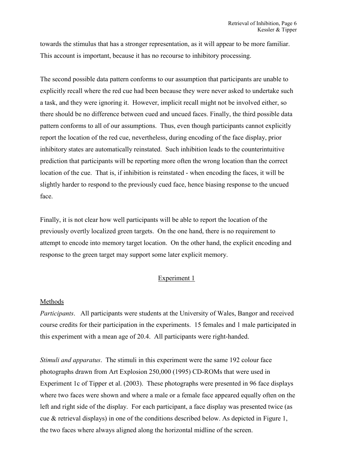towards the stimulus that has a stronger representation, as it will appear to be more familiar. This account is important, because it has no recourse to inhibitory processing.

The second possible data pattern conforms to our assumption that participants are unable to explicitly recall where the red cue had been because they were never asked to undertake such a task, and they were ignoring it. However, implicit recall might not be involved either, so there should be no difference between cued and uncued faces. Finally, the third possible data pattern conforms to all of our assumptions. Thus, even though participants cannot explicitly report the location of the red cue, nevertheless, during encoding of the face display, prior inhibitory states are automatically reinstated. Such inhibition leads to the counterintuitive prediction that participants will be reporting more often the wrong location than the correct location of the cue. That is, if inhibition is reinstated - when encoding the faces, it will be slightly harder to respond to the previously cued face, hence biasing response to the uncued face.

Finally, it is not clear how well participants will be able to report the location of the previously overtly localized green targets. On the one hand, there is no requirement to attempt to encode into memory target location. On the other hand, the explicit encoding and response to the green target may support some later explicit memory.

# Experiment 1

### Methods

*Participants*. All participants were students at the University of Wales, Bangor and received course credits for their participation in the experiments. 15 females and 1 male participated in this experiment with a mean age of 20.4. All participants were right-handed.

*Stimuli and apparatus*. The stimuli in this experiment were the same 192 colour face photographs drawn from Art Explosion 250,000 (1995) CD-ROMs that were used in Experiment 1c of Tipper et al. (2003). These photographs were presented in 96 face displays where two faces were shown and where a male or a female face appeared equally often on the left and right side of the display. For each participant, a face display was presented twice (as cue & retrieval displays) in one of the conditions described below. As depicted in Figure 1, the two faces where always aligned along the horizontal midline of the screen.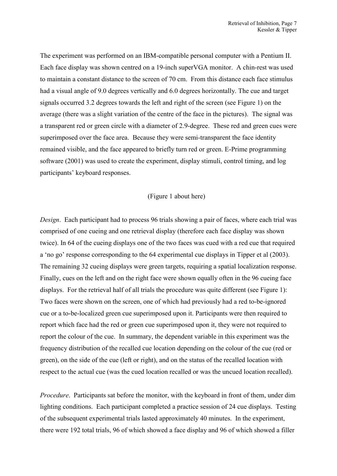The experiment was performed on an IBM-compatible personal computer with a Pentium II. Each face display was shown centred on a 19-inch superVGA monitor. A chin-rest was used to maintain a constant distance to the screen of 70 cm. From this distance each face stimulus had a visual angle of 9.0 degrees vertically and 6.0 degrees horizontally. The cue and target signals occurred 3.2 degrees towards the left and right of the screen (see Figure 1) on the average (there was a slight variation of the centre of the face in the pictures). The signal was a transparent red or green circle with a diameter of 2.9-degree. These red and green cues were superimposed over the face area. Because they were semi-transparent the face identity remained visible, and the face appeared to briefly turn red or green. E-Prime programming software (2001) was used to create the experiment, display stimuli, control timing, and log participants' keyboard responses.

#### (Figure 1 about here)

*Design*. Each participant had to process 96 trials showing a pair of faces, where each trial was comprised of one cueing and one retrieval display (therefore each face display was shown twice). In 64 of the cueing displays one of the two faces was cued with a red cue that required a 'no go' response corresponding to the 64 experimental cue displays in Tipper et al (2003). The remaining 32 cueing displays were green targets, requiring a spatial localization response. Finally, cues on the left and on the right face were shown equally often in the 96 cueing face displays. For the retrieval half of all trials the procedure was quite different (see Figure 1): Two faces were shown on the screen, one of which had previously had a red to-be-ignored cue or a to-be-localized green cue superimposed upon it. Participants were then required to report which face had the red or green cue superimposed upon it, they were not required to report the colour of the cue. In summary, the dependent variable in this experiment was the frequency distribution of the recalled cue location depending on the colour of the cue (red or green), on the side of the cue (left or right), and on the status of the recalled location with respect to the actual cue (was the cued location recalled or was the uncued location recalled).

*Procedure*. Participants sat before the monitor, with the keyboard in front of them, under dim lighting conditions. Each participant completed a practice session of 24 cue displays. Testing of the subsequent experimental trials lasted approximately 40 minutes. In the experiment, there were 192 total trials, 96 of which showed a face display and 96 of which showed a filler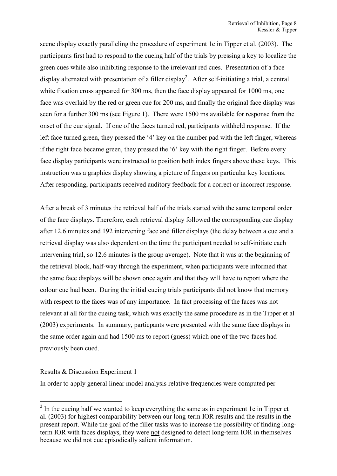scene display exactly paralleling the procedure of experiment 1c in Tipper et al. (2003). The participants first had to respond to the cueing half of the trials by pressing a key to localize the green cues while also inhibiting response to the irrelevant red cues. Presentation of a face display alternated with presentation of a filler display<sup>2</sup>. After self-initiating a trial, a central white fixation cross appeared for 300 ms, then the face display appeared for 1000 ms, one face was overlaid by the red or green cue for 200 ms, and finally the original face display was seen for a further 300 ms (see Figure 1). There were 1500 ms available for response from the onset of the cue signal. If one of the faces turned red, participants withheld response. If the left face turned green, they pressed the '4' key on the number pad with the left finger, whereas if the right face became green, they pressed the '6' key with the right finger. Before every face display participants were instructed to position both index fingers above these keys. This instruction was a graphics display showing a picture of fingers on particular key locations. After responding, participants received auditory feedback for a correct or incorrect response.

After a break of 3 minutes the retrieval half of the trials started with the same temporal order of the face displays. Therefore, each retrieval display followed the corresponding cue display after 12.6 minutes and 192 intervening face and filler displays (the delay between a cue and a retrieval display was also dependent on the time the participant needed to self-initiate each intervening trial, so 12.6 minutes is the group average). Note that it was at the beginning of the retrieval block, half-way through the experiment, when participants were informed that the same face displays will be shown once again and that they will have to report where the colour cue had been. During the initial cueing trials participants did not know that memory with respect to the faces was of any importance. In fact processing of the faces was not relevant at all for the cueing task, which was exactly the same procedure as in the Tipper et al (2003) experiments. In summary, particpants were presented with the same face displays in the same order again and had 1500 ms to report (guess) which one of the two faces had previously been cued.

### Results & Discussion Experiment 1

 $\overline{a}$ 

In order to apply general linear model analysis relative frequencies were computed per

 $2 \text{ In the cueing half we wanted to keep everything the same as in experiment 1c in Tipper et }$ al. (2003) for highest comparability between our long-term IOR results and the results in the present report. While the goal of the filler tasks was to increase the possibility of finding longterm IOR with faces displays, they were not designed to detect long-term IOR in themselves because we did not cue episodically salient information.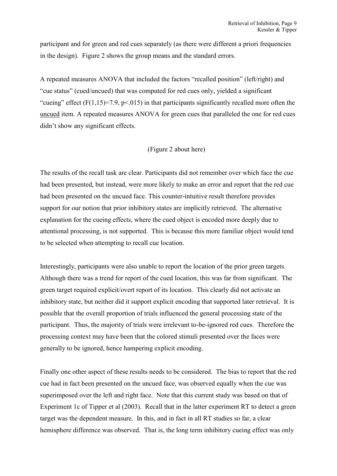participant and for green and red cues separately (as there were different a priori frequencies in the design). Figure 2 shows the group means and the standard errors.

A repeated measures ANOVA that included the factors "recalled position" (left/right) and "cue status" (cued/uncued) that was computed for red cues only, yielded a significant "cueing" effect  $(F(1,15)=7.9, p<0.015)$  in that participants significantly recalled more often the uncued item. A repeated measures ANOVA for green cues that paralleled the one for red cues didn't show any significant effects.

# (Figure 2 about here)

The results of the recall task are clear. Participants did not remember over which face the cue had been presented, but instead, were more likely to make an error and report that the red cue had been presented on the uncued face. This counter-intuitive result therefore provides support for our notion that prior inhibitory states are implicitly retrieved. The alternative explanation for the cueing effects, where the cued object is encoded more deeply due to attentional processing, is not supported. This is because this more familiar object would tend to be selected when attempting to recall cue location.

Interestingly, participants were also unable to report the location of the prior green targets. Although there was a trend for report of the cued location, this was far from significant. The green target required explicit/overt report of its location. This clearly did not activate an inhibitory state, but neither did it support explicit encoding that supported later retrieval. It is possible that the overall proportion of trials influenced the general processing state of the participant. Thus, the majority of trials were irrelevant to-be-ignored red cues. Therefore the processing context may have been that the colored stimuli presented over the faces were generally to be ignored, hence hampering explicit encoding.

Finally one other aspect of these results needs to be considered. The bias to report that the red cue had in fact been presented on the uncued face, was observed equally when the cue was superimposed over the left and right face. Note that this current study was based on that of Experiment 1c of Tipper et al (2003). Recall that in the latter experiment RT to detect a green target was the dependent measure. In this, and in fact in all RT studies so far, a clear hemisphere difference was observed. That is, the long term inhibitory cueing effect was only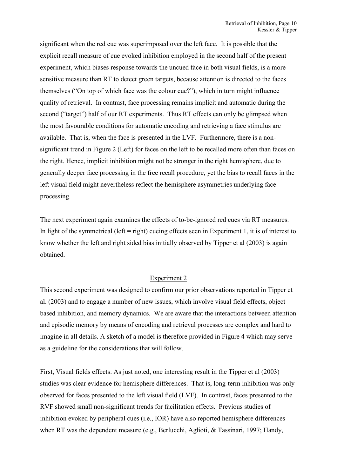significant when the red cue was superimposed over the left face. It is possible that the explicit recall measure of cue evoked inhibition employed in the second half of the present experiment, which biases response towards the uncued face in both visual fields, is a more sensitive measure than RT to detect green targets, because attention is directed to the faces themselves ("On top of which face was the colour cue?"), which in turn might influence quality of retrieval. In contrast, face processing remains implicit and automatic during the second ("target") half of our RT experiments. Thus RT effects can only be glimpsed when the most favourable conditions for automatic encoding and retrieving a face stimulus are available. That is, when the face is presented in the LVF. Furthermore, there is a nonsignificant trend in Figure 2 (Left) for faces on the left to be recalled more often than faces on the right. Hence, implicit inhibition might not be stronger in the right hemisphere, due to generally deeper face processing in the free recall procedure, yet the bias to recall faces in the left visual field might nevertheless reflect the hemisphere asymmetries underlying face processing.

The next experiment again examines the effects of to-be-ignored red cues via RT measures. In light of the symmetrical (left  $=$  right) cueing effects seen in Experiment 1, it is of interest to know whether the left and right sided bias initially observed by Tipper et al (2003) is again obtained.

### Experiment 2

This second experiment was designed to confirm our prior observations reported in Tipper et al. (2003) and to engage a number of new issues, which involve visual field effects, object based inhibition, and memory dynamics. We are aware that the interactions between attention and episodic memory by means of encoding and retrieval processes are complex and hard to imagine in all details. A sketch of a model is therefore provided in Figure 4 which may serve as a guideline for the considerations that will follow.

First, Visual fields effects. As just noted, one interesting result in the Tipper et al (2003) studies was clear evidence for hemisphere differences. That is, long-term inhibition was only observed for faces presented to the left visual field (LVF). In contrast, faces presented to the RVF showed small non-significant trends for facilitation effects. Previous studies of inhibition evoked by peripheral cues (i.e., IOR) have also reported hemisphere differences when RT was the dependent measure (e.g., Berlucchi, Aglioti, & Tassinari, 1997; Handy,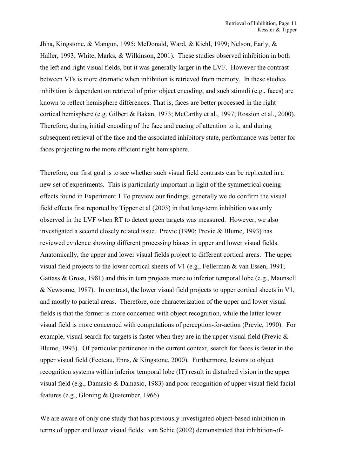Jhha, Kingstone, & Mangun, 1995; McDonald, Ward, & Kiehl, 1999; Nelson, Early, & Haller, 1993; White, Marks, & Wilkinson, 2001). These studies observed inhibition in both the left and right visual fields, but it was generally larger in the LVF. However the contrast between VFs is more dramatic when inhibition is retrieved from memory. In these studies inhibition is dependent on retrieval of prior object encoding, and such stimuli (e.g., faces) are known to reflect hemisphere differences. That is, faces are better processed in the right cortical hemisphere (e.g. Gilbert & Bakan, 1973; McCarthy et al., 1997; Rossion et al., 2000). Therefore, during initial encoding of the face and cueing of attention to it, and during subsequent retrieval of the face and the associated inhibitory state, performance was better for faces projecting to the more efficient right hemisphere.

Therefore, our first goal is to see whether such visual field contrasts can be replicated in a new set of experiments. This is particularly important in light of the symmetrical cueing effects found in Experiment 1.To preview our findings, generally we do confirm the visual field effects first reported by Tipper et al (2003) in that long-term inhibition was only observed in the LVF when RT to detect green targets was measured. However, we also investigated a second closely related issue. Previc (1990; Previc & Blume, 1993) has reviewed evidence showing different processing biases in upper and lower visual fields. Anatomically, the upper and lower visual fields project to different cortical areas. The upper visual field projects to the lower cortical sheets of V1 (e.g., Fellerman & van Essen, 1991; Gattass & Gross, 1981) and this in turn projects more to inferior temporal lobe (e.g., Maunsell & Newsome, 1987). In contrast, the lower visual field projects to upper cortical sheets in V1, and mostly to parietal areas. Therefore, one characterization of the upper and lower visual fields is that the former is more concerned with object recognition, while the latter lower visual field is more concerned with computations of perception-for-action (Previc, 1990). For example, visual search for targets is faster when they are in the upper visual field (Previc  $\&$ Blume, 1993). Of particular pertinence in the current context, search for faces is faster in the upper visual field (Fecteau, Enns, & Kingstone, 2000). Furthermore, lesions to object recognition systems within inferior temporal lobe (IT) result in disturbed vision in the upper visual field (e.g., Damasio & Damasio, 1983) and poor recognition of upper visual field facial features (e.g., Gloning & Quatember, 1966).

We are aware of only one study that has previously investigated object-based inhibition in terms of upper and lower visual fields. van Schie (2002) demonstrated that inhibition-of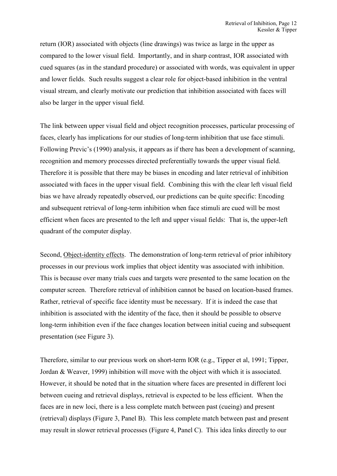return (IOR) associated with objects (line drawings) was twice as large in the upper as compared to the lower visual field. Importantly, and in sharp contrast, IOR associated with cued squares (as in the standard procedure) or associated with words, was equivalent in upper and lower fields. Such results suggest a clear role for object-based inhibition in the ventral visual stream, and clearly motivate our prediction that inhibition associated with faces will also be larger in the upper visual field.

The link between upper visual field and object recognition processes, particular processing of faces, clearly has implications for our studies of long-term inhibition that use face stimuli. Following Previc's (1990) analysis, it appears as if there has been a development of scanning, recognition and memory processes directed preferentially towards the upper visual field. Therefore it is possible that there may be biases in encoding and later retrieval of inhibition associated with faces in the upper visual field. Combining this with the clear left visual field bias we have already repeatedly observed, our predictions can be quite specific: Encoding and subsequent retrieval of long-term inhibition when face stimuli are cued will be most efficient when faces are presented to the left and upper visual fields: That is, the upper-left quadrant of the computer display.

Second, Object-identity effects. The demonstration of long-term retrieval of prior inhibitory processes in our previous work implies that object identity was associated with inhibition. This is because over many trials cues and targets were presented to the same location on the computer screen. Therefore retrieval of inhibition cannot be based on location-based frames. Rather, retrieval of specific face identity must be necessary. If it is indeed the case that inhibition is associated with the identity of the face, then it should be possible to observe long-term inhibition even if the face changes location between initial cueing and subsequent presentation (see Figure 3).

Therefore, similar to our previous work on short-term IOR (e.g., Tipper et al, 1991; Tipper, Jordan & Weaver, 1999) inhibition will move with the object with which it is associated. However, it should be noted that in the situation where faces are presented in different loci between cueing and retrieval displays, retrieval is expected to be less efficient. When the faces are in new loci, there is a less complete match between past (cueing) and present (retrieval) displays (Figure 3, Panel B). This less complete match between past and present may result in slower retrieval processes (Figure 4, Panel C). This idea links directly to our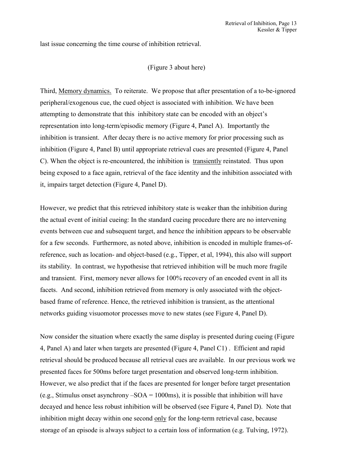last issue concerning the time course of inhibition retrieval.

### (Figure 3 about here)

Third, Memory dynamics. To reiterate. We propose that after presentation of a to-be-ignored peripheral/exogenous cue, the cued object is associated with inhibition. We have been attempting to demonstrate that this inhibitory state can be encoded with an object's representation into long-term/episodic memory (Figure 4, Panel A). Importantly the inhibition is transient. After decay there is no active memory for prior processing such as inhibition (Figure 4, Panel B) until appropriate retrieval cues are presented (Figure 4, Panel C). When the object is re-encountered, the inhibition is transiently reinstated. Thus upon being exposed to a face again, retrieval of the face identity and the inhibition associated with it, impairs target detection (Figure 4, Panel D).

However, we predict that this retrieved inhibitory state is weaker than the inhibition during the actual event of initial cueing: In the standard cueing procedure there are no intervening events between cue and subsequent target, and hence the inhibition appears to be observable for a few seconds. Furthermore, as noted above, inhibition is encoded in multiple frames-ofreference, such as location- and object-based (e.g., Tipper, et al, 1994), this also will support its stability. In contrast, we hypothesise that retrieved inhibition will be much more fragile and transient. First, memory never allows for 100% recovery of an encoded event in all its facets. And second, inhibition retrieved from memory is only associated with the objectbased frame of reference. Hence, the retrieved inhibition is transient, as the attentional networks guiding visuomotor processes move to new states (see Figure 4, Panel D).

Now consider the situation where exactly the same display is presented during cueing (Figure 4, Panel A) and later when targets are presented (Figure 4, Panel C1) . Efficient and rapid retrieval should be produced because all retrieval cues are available. In our previous work we presented faces for 500ms before target presentation and observed long-term inhibition. However, we also predict that if the faces are presented for longer before target presentation (e.g., Stimulus onset asynchrony –SOA = 1000ms), it is possible that inhibition will have decayed and hence less robust inhibition will be observed (see Figure 4, Panel D). Note that inhibition might decay within one second only for the long-term retrieval case, because storage of an episode is always subject to a certain loss of information (e.g. Tulving, 1972).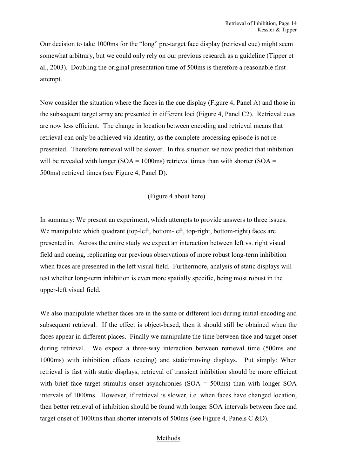Our decision to take 1000ms for the "long" pre-target face display (retrieval cue) might seem somewhat arbitrary, but we could only rely on our previous research as a guideline (Tipper et al., 2003). Doubling the original presentation time of 500ms is therefore a reasonable first attempt.

Now consider the situation where the faces in the cue display (Figure 4, Panel A) and those in the subsequent target array are presented in different loci (Figure 4, Panel C2). Retrieval cues are now less efficient. The change in location between encoding and retrieval means that retrieval can only be achieved via identity, as the complete processing episode is not represented. Therefore retrieval will be slower. In this situation we now predict that inhibition will be revealed with longer ( $SOA = 1000$ ms) retrieval times than with shorter ( $SOA =$ 500ms) retrieval times (see Figure 4, Panel D).

### (Figure 4 about here)

In summary: We present an experiment, which attempts to provide answers to three issues. We manipulate which quadrant (top-left, bottom-left, top-right, bottom-right) faces are presented in. Across the entire study we expect an interaction between left vs. right visual field and cueing, replicating our previous observations of more robust long-term inhibition when faces are presented in the left visual field. Furthermore, analysis of static displays will test whether long-term inhibition is even more spatially specific, being most robust in the upper-left visual field.

We also manipulate whether faces are in the same or different loci during initial encoding and subsequent retrieval. If the effect is object-based, then it should still be obtained when the faces appear in different places. Finally we manipulate the time between face and target onset during retrieval. We expect a three-way interaction between retrieval time (500ms and 1000ms) with inhibition effects (cueing) and static/moving displays. Put simply: When retrieval is fast with static displays, retrieval of transient inhibition should be more efficient with brief face target stimulus onset asynchronies (SOA = 500ms) than with longer SOA intervals of 1000ms. However, if retrieval is slower, i.e. when faces have changed location, then better retrieval of inhibition should be found with longer SOA intervals between face and target onset of 1000ms than shorter intervals of 500ms (see Figure 4, Panels C &D).

#### Methods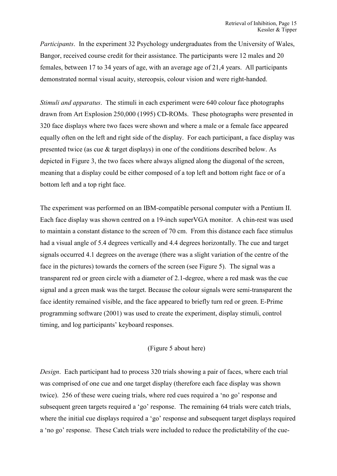*Participants*. In the experiment 32 Psychology undergraduates from the University of Wales, Bangor, received course credit for their assistance. The participants were 12 males and 20 females, between 17 to 34 years of age, with an average age of 21,4 years. All participants demonstrated normal visual acuity, stereopsis, colour vision and were right-handed.

*Stimuli and apparatus*. The stimuli in each experiment were 640 colour face photographs drawn from Art Explosion 250,000 (1995) CD-ROMs. These photographs were presented in 320 face displays where two faces were shown and where a male or a female face appeared equally often on the left and right side of the display. For each participant, a face display was presented twice (as cue & target displays) in one of the conditions described below. As depicted in Figure 3, the two faces where always aligned along the diagonal of the screen, meaning that a display could be either composed of a top left and bottom right face or of a bottom left and a top right face.

The experiment was performed on an IBM-compatible personal computer with a Pentium II. Each face display was shown centred on a 19-inch superVGA monitor. A chin-rest was used to maintain a constant distance to the screen of 70 cm. From this distance each face stimulus had a visual angle of 5.4 degrees vertically and 4.4 degrees horizontally. The cue and target signals occurred 4.1 degrees on the average (there was a slight variation of the centre of the face in the pictures) towards the corners of the screen (see Figure 5). The signal was a transparent red or green circle with a diameter of 2.1-degree, where a red mask was the cue signal and a green mask was the target. Because the colour signals were semi-transparent the face identity remained visible, and the face appeared to briefly turn red or green. E-Prime programming software (2001) was used to create the experiment, display stimuli, control timing, and log participants' keyboard responses.

# (Figure 5 about here)

*Design*. Each participant had to process 320 trials showing a pair of faces, where each trial was comprised of one cue and one target display (therefore each face display was shown twice). 256 of these were cueing trials, where red cues required a 'no go' response and subsequent green targets required a 'go' response. The remaining 64 trials were catch trials, where the initial cue displays required a 'go' response and subsequent target displays required a 'no go' response. These Catch trials were included to reduce the predictability of the cue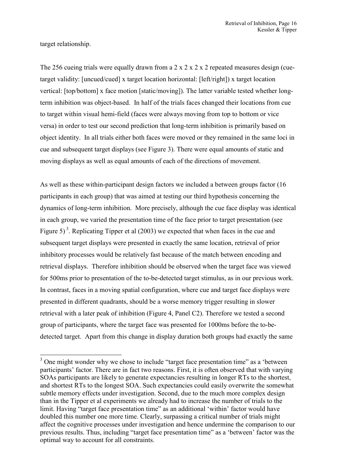target relationship.

 $\overline{a}$ 

The 256 cueing trials were equally drawn from a 2 x 2 x 2 x 2 repeated measures design (cuetarget validity: [uncued/cued] x target location horizontal: [left/right]) x target location vertical: [top/bottom] x face motion [static/moving]). The latter variable tested whether longterm inhibition was object-based. In half of the trials faces changed their locations from cue to target within visual hemi-field (faces were always moving from top to bottom or vice versa) in order to test our second prediction that long-term inhibition is primarily based on object identity. In all trials either both faces were moved or they remained in the same loci in cue and subsequent target displays (see Figure 3). There were equal amounts of static and moving displays as well as equal amounts of each of the directions of movement.

As well as these within-participant design factors we included a between groups factor (16 participants in each group) that was aimed at testing our third hypothesis concerning the dynamics of long-term inhibition. More precisely, although the cue face display was identical in each group, we varied the presentation time of the face prior to target presentation (see Figure 5)<sup>3</sup>. Replicating Tipper et al (2003) we expected that when faces in the cue and subsequent target displays were presented in exactly the same location, retrieval of prior inhibitory processes would be relatively fast because of the match between encoding and retrieval displays. Therefore inhibition should be observed when the target face was viewed for 500ms prior to presentation of the to-be-detected target stimulus, as in our previous work. In contrast, faces in a moving spatial configuration, where cue and target face displays were presented in different quadrants, should be a worse memory trigger resulting in slower retrieval with a later peak of inhibition (Figure 4, Panel C2). Therefore we tested a second group of participants, where the target face was presented for 1000ms before the to-bedetected target. Apart from this change in display duration both groups had exactly the same

 $3$  One might wonder why we chose to include "target face presentation time" as a 'between participants' factor. There are in fact two reasons. First, it is often observed that with varying SOAs participants are likely to generate expectancies resulting in longer RTs to the shortest, and shortest RTs to the longest SOA. Such expectancies could easily overwrite the somewhat subtle memory effects under investigation. Second, due to the much more complex design than in the Tipper et al experiments we already had to increase the number of trials to the limit. Having "target face presentation time" as an additional 'within' factor would have doubled this number one more time. Clearly, surpassing a critical number of trials might affect the cognitive processes under investigation and hence undermine the comparison to our previous results. Thus, including "target face presentation time" as a 'between' factor was the optimal way to account for all constraints.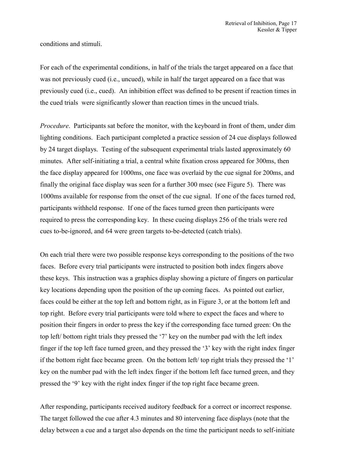conditions and stimuli.

For each of the experimental conditions, in half of the trials the target appeared on a face that was not previously cued (i.e., uncued), while in half the target appeared on a face that was previously cued (i.e., cued). An inhibition effect was defined to be present if reaction times in the cued trials were significantly slower than reaction times in the uncued trials.

*Procedure*. Participants sat before the monitor, with the keyboard in front of them, under dim lighting conditions. Each participant completed a practice session of 24 cue displays followed by 24 target displays. Testing of the subsequent experimental trials lasted approximately 60 minutes. After self-initiating a trial, a central white fixation cross appeared for 300ms, then the face display appeared for 1000ms, one face was overlaid by the cue signal for 200ms, and finally the original face display was seen for a further 300 msec (see Figure 5). There was 1000ms available for response from the onset of the cue signal. If one of the faces turned red, participants withheld response. If one of the faces turned green then participants were required to press the corresponding key. In these cueing displays 256 of the trials were red cues to-be-ignored, and 64 were green targets to-be-detected (catch trials).

On each trial there were two possible response keys corresponding to the positions of the two faces. Before every trial participants were instructed to position both index fingers above these keys. This instruction was a graphics display showing a picture of fingers on particular key locations depending upon the position of the up coming faces. As pointed out earlier, faces could be either at the top left and bottom right, as in Figure 3, or at the bottom left and top right. Before every trial participants were told where to expect the faces and where to position their fingers in order to press the key if the corresponding face turned green: On the top left/ bottom right trials they pressed the '7' key on the number pad with the left index finger if the top left face turned green, and they pressed the '3' key with the right index finger if the bottom right face became green. On the bottom left/ top right trials they pressed the '1' key on the number pad with the left index finger if the bottom left face turned green, and they pressed the '9' key with the right index finger if the top right face became green.

After responding, participants received auditory feedback for a correct or incorrect response. The target followed the cue after 4.3 minutes and 80 intervening face displays (note that the delay between a cue and a target also depends on the time the participant needs to self-initiate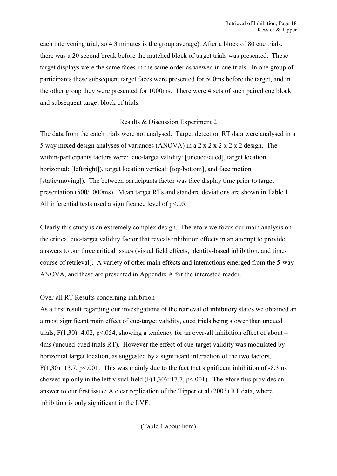each intervening trial, so 4.3 minutes is the group average). After a block of 80 cue trials, there was a 20 second break before the matched block of target trials was presented. These target displays were the same faces in the same order as viewed in cue trials. In one group of participants these subsequent target faces were presented for 500ms before the target, and in the other group they were presented for 1000ms. There were 4 sets of such paired cue block and subsequent target block of trials.

# Results & Discussion Experiment 2

The data from the catch trials were not analysed. Target detection RT data were analysed in a 5 way mixed design analyses of variances (ANOVA) in a 2 x 2 x 2 x 2 x 2 design. The within-participants factors were: cue-target validity: [uncued/cued], target location horizontal: [left/right]), target location vertical: [top/bottom], and face motion [static/moving]). The between participants factor was face display time prior to target presentation (500/1000ms). Mean target RTs and standard deviations are shown in Table 1. All inferential tests used a significance level of  $p<0.05$ .

Clearly this study is an extremely complex design. Therefore we focus our main analysis on the critical cue-target validity factor that reveals inhibition effects in an attempt to provide answers to our three critical issues (visual field effects, identity-based inhibition, and timecourse of retrieval). A variety of other main effects and interactions emerged from the 5-way ANOVA, and these are presented in Appendix A for the interested reader.

# Over-all RT Results concerning inhibition

As a first result regarding our investigations of the retrieval of inhibitory states we obtained an almost significant main effect of cue-target validity, cued trials being slower than uncued trials,  $F(1,30)=4.02$ ,  $p<0.054$ , showing a tendency for an over-all inhibition effect of about – 4ms (uncued-cued trials RT). However the effect of cue-target validity was modulated by horizontal target location, as suggested by a significant interaction of the two factors,  $F(1,30)=13.7$ ,  $p<0.001$ . This was mainly due to the fact that significant inhibition of -8.3ms showed up only in the left visual field  $(F(1,30)=17.7, p<0.01)$ . Therefore this provides an answer to our first issue: A clear replication of the Tipper et al (2003) RT data, where inhibition is only significant in the LVF.

(Table 1 about here)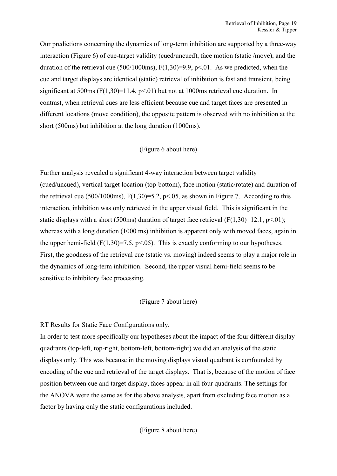Our predictions concerning the dynamics of long-term inhibition are supported by a three-way interaction (Figure 6) of cue-target validity (cued/uncued), face motion (static /move), and the duration of the retrieval cue (500/1000ms),  $F(1,30)=9.9$ ,  $p<01$ . As we predicted, when the cue and target displays are identical (static) retrieval of inhibition is fast and transient, being significant at 500ms ( $F(1,30)=11.4$ ,  $p<01$ ) but not at 1000ms retrieval cue duration. In contrast, when retrieval cues are less efficient because cue and target faces are presented in different locations (move condition), the opposite pattern is observed with no inhibition at the short (500ms) but inhibition at the long duration (1000ms).

# (Figure 6 about here)

Further analysis revealed a significant 4-way interaction between target validity (cued/uncued), vertical target location (top-bottom), face motion (static/rotate) and duration of the retrieval cue (500/1000ms),  $F(1,30)=5.2$ ,  $p<.05$ , as shown in Figure 7. According to this interaction, inhibition was only retrieved in the upper visual field. This is significant in the static displays with a short (500ms) duration of target face retrieval  $(F(1,30)=12.1, p<0.01)$ ; whereas with a long duration (1000 ms) inhibition is apparent only with moved faces, again in the upper hemi-field  $(F(1,30)=7.5, p<0.65)$ . This is exactly conforming to our hypotheses. First, the goodness of the retrieval cue (static vs. moving) indeed seems to play a major role in the dynamics of long-term inhibition. Second, the upper visual hemi-field seems to be sensitive to inhibitory face processing.

# (Figure 7 about here)

# RT Results for Static Face Configurations only.

In order to test more specifically our hypotheses about the impact of the four different display quadrants (top-left, top-right, bottom-left, bottom-right) we did an analysis of the static displays only. This was because in the moving displays visual quadrant is confounded by encoding of the cue and retrieval of the target displays. That is, because of the motion of face position between cue and target display, faces appear in all four quadrants. The settings for the ANOVA were the same as for the above analysis, apart from excluding face motion as a factor by having only the static configurations included.

(Figure 8 about here)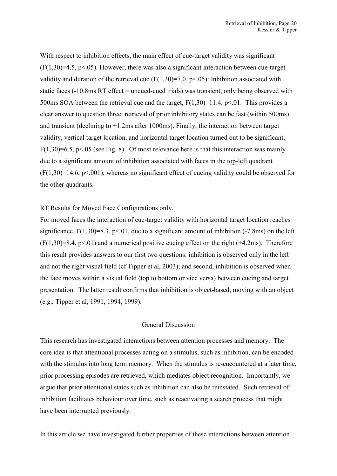With respect to inhibition effects, the main effect of cue-target validity was significant  $(F(1,30)=4.5, p<0.05)$ . However, there was also a significant interaction between cue-target validity and duration of the retrieval cue  $(F(1,30)=7.0, p<0.05)$ : Inhibition associated with static faces (-10.8ms RT effect = uncued-cued trials) was transient, only being observed with 500ms SOA between the retrieval cue and the target,  $F(1,30)=11.4$ ,  $p<01$ . This provides a clear answer to question three: retrieval of prior inhibitory states can be fast (within 500ms) and transient (declining to +1.2ms after 1000ms). Finally, the interaction between target validity, vertical target location, and horizontal target location turned out to be significant, F(1,30)=6.5, p<.05 (see Fig. 8). Of most relevance here is that this interaction was mainly due to a significant amount of inhibition associated with faces in the top-left quadrant  $(F(1,30)=14.6, p<.001)$ , whereas no significant effect of cueing validity could be observed for the other quadrants.

## RT Results for Moved Face Configurations only.

For moved faces the interaction of cue-target validity with horizontal target location reaches significance,  $F(1,30)=8.3$ ,  $p<0.1$ , due to a significant amount of inhibition (-7.8ms) on the left  $(F(1,30)=8.4, p<0.01)$  and a numerical positive cueing effect on the right  $(+4.2 \text{ms})$ . Therefore this result provides answers to our first two questions: inhibition is observed only in the left and not the right visual field (cf Tipper et al, 2003); and second, inhibition is observed when the face moves within a visual field (top to bottom or vice versa) between cueing and target presentation. The latter result confirms that inhibition is object-based, moving with an object (e.g., Tipper et al, 1991, 1994, 1999).

#### General Discussion

This research has investigated interactions between attention processes and memory. The core idea is that attentional processes acting on a stimulus, such as inhibition, can be encoded with the stimulus into long term memory. When the stimulus is re-encountered at a later time, prior processing episodes are retrieved, which mediates object recognition. Importantly, we argue that prior attentional states such as inhibition can also be reinstated. Such retrieval of inhibition facilitates behaviour over time, such as reactivating a search process that might have been interrupted previously.

In this article we have investigated further properties of these interactions between attention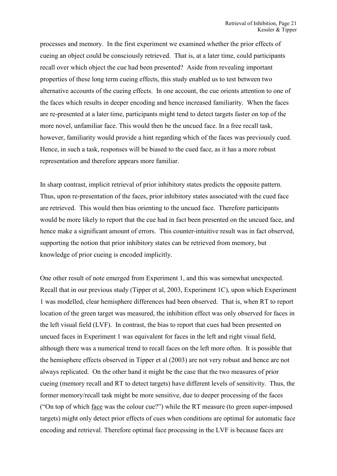processes and memory. In the first experiment we examined whether the prior effects of cueing an object could be consciously retrieved. That is, at a later time, could participants recall over which object the cue had been presented? Aside from revealing important properties of these long term cueing effects, this study enabled us to test between two alternative accounts of the cueing effects. In one account, the cue orients attention to one of the faces which results in deeper encoding and hence increased familiarity. When the faces are re-presented at a later time, participants might tend to detect targets faster on top of the more novel, unfamiliar face. This would then be the uncued face. In a free recall task, however, familiarity would provide a hint regarding which of the faces was previously cued. Hence, in such a task, responses will be biased to the cued face, as it has a more robust representation and therefore appears more familiar.

In sharp contrast, implicit retrieval of prior inhibitory states predicts the opposite pattern. Thus, upon re-presentation of the faces, prior inhibitory states associated with the cued face are retrieved. This would then bias orienting to the uncued face. Therefore participants would be more likely to report that the cue had in fact been presented on the uncued face, and hence make a significant amount of errors. This counter-intuitive result was in fact observed, supporting the notion that prior inhibitory states can be retrieved from memory, but knowledge of prior cueing is encoded implicitly.

One other result of note emerged from Experiment 1, and this was somewhat unexpected. Recall that in our previous study (Tipper et al, 2003, Experiment 1C), upon which Experiment 1 was modelled, clear hemisphere differences had been observed. That is, when RT to report location of the green target was measured, the inhibition effect was only observed for faces in the left visual field (LVF). In contrast, the bias to report that cues had been presented on uncued faces in Experiment 1 was equivalent for faces in the left and right visual field, although there was a numerical trend to recall faces on the left more often. It is possible that the hemisphere effects observed in Tipper et al (2003) are not very robust and hence are not always replicated. On the other hand it might be the case that the two measures of prior cueing (memory recall and RT to detect targets) have different levels of sensitivity. Thus, the former memory/recall task might be more sensitive, due to deeper processing of the faces ("On top of which face was the colour cue?") while the RT measure (to green super-imposed targets) might only detect prior effects of cues when conditions are optimal for automatic face encoding and retrieval. Therefore optimal face processing in the LVF is because faces are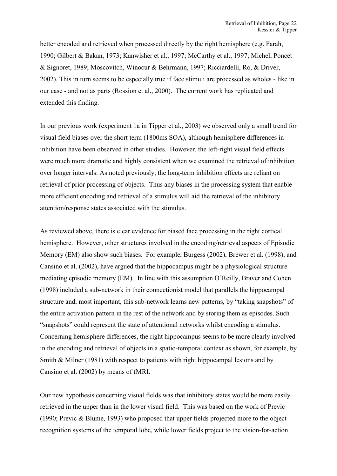better encoded and retrieved when processed directly by the right hemisphere (e.g. Farah, 1990; Gilbert & Bakan, 1973; Kanwisher et al., 1997; McCarthy et al., 1997; Michel, Poncet & Signoret, 1989; Moscovitch, Winocur & Behrmann, 1997; Ricciardelli, Ro, & Driver, 2002). This in turn seems to be especially true if face stimuli are processed as wholes - like in our case - and not as parts (Rossion et al., 2000). The current work has replicated and extended this finding.

In our previous work (experiment 1a in Tipper et al., 2003) we observed only a small trend for visual field biases over the short term (1800ms SOA), although hemisphere differences in inhibition have been observed in other studies. However, the left-right visual field effects were much more dramatic and highly consistent when we examined the retrieval of inhibition over longer intervals. As noted previously, the long-term inhibition effects are reliant on retrieval of prior processing of objects. Thus any biases in the processing system that enable more efficient encoding and retrieval of a stimulus will aid the retrieval of the inhibitory attention/response states associated with the stimulus.

As reviewed above, there is clear evidence for biased face processing in the right cortical hemisphere. However, other structures involved in the encoding/retrieval aspects of Episodic Memory (EM) also show such biases. For example, Burgess (2002), Brewer et al. (1998), and Cansino et al. (2002), have argued that the hippocampus might be a physiological structure mediating episodic memory (EM). In line with this assumption O'Reilly, Braver and Cohen (1998) included a sub-network in their connectionist model that parallels the hippocampal structure and, most important, this sub-network learns new patterns, by "taking snapshots" of the entire activation pattern in the rest of the network and by storing them as episodes. Such "snapshots" could represent the state of attentional networks whilst encoding a stimulus. Concerning hemisphere differences, the right hippocampus seems to be more clearly involved in the encoding and retrieval of objects in a spatio-temporal context as shown, for example, by Smith & Milner (1981) with respect to patients with right hippocampal lesions and by Cansino et al. (2002) by means of fMRI.

Our new hypothesis concerning visual fields was that inhibitory states would be more easily retrieved in the upper than in the lower visual field. This was based on the work of Previc (1990; Previc & Blume, 1993) who proposed that upper fields projected more to the object recognition systems of the temporal lobe, while lower fields project to the vision-for-action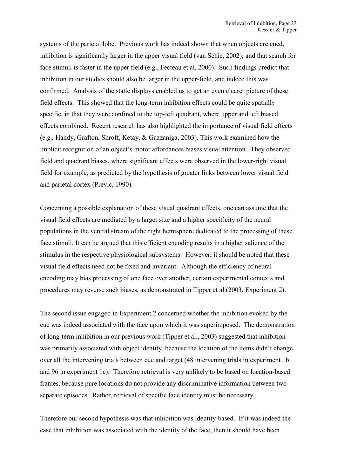systems of the parietal lobe. Previous work has indeed shown that when objects are cued, inhibition is significantly larger in the upper visual field (van Schie, 2002); and that search for face stimuli is faster in the upper field (e.g., Fecteau et al, 2000). Such findings predict that inhibition in our studies should also be larger in the upper-field, and indeed this was confirmed. Analysis of the static displays enabled us to get an even clearer picture of these field effects. This showed that the long-term inhibition effects could be quite spatially specific, in that they were confined to the top-left quadrant, where upper and left biased effects combined. Recent research has also highlighted the importance of visual field effects (e.g., Handy, Grafton, Shroff, Ketay, & Gazzaniga, 2003). This work examined how the implicit recognition of an object's motor affordances biases visual attention. They observed field and quadrant biases, where significant effects were observed in the lower-right visual field for example, as predicted by the hypothesis of greater links between lower visual field and parietal cortex (Previc, 1990).

Concerning a possible explanation of these visual quadrant effects, one can assume that the visual field effects are mediated by a larger size and a higher specificity of the neural populations in the ventral stream of the right hemisphere dedicated to the processing of these face stimuli. It can be argued that this efficient encoding results in a higher salience of the stimulus in the respective physiological subsystems. However, it should be noted that these visual field effects need not be fixed and invariant. Although the efficiency of neural encoding may bias processing of one face over another, certain experimental contexts and procedures may reverse such biases, as demonstrated in Tipper et al (2003, Experiment 2).

The second issue engaged in Experiment 2 concerned whether the inhibition evoked by the cue was indeed associated with the face upon which it was superimposed. The demonstration of long-term inhibition in our previous work (Tipper et al., 2003) suggested that inhibition was primarily associated with object identity, because the location of the items didn't change over all the intervening trials between cue and target (48 intervening trials in experiment 1b and 96 in experiment 1c). Therefore retrieval is very unlikely to be based on location-based frames, because pure locations do not provide any discriminative information between two separate episodes. Rather, retrieval of specific face identity must be necessary.

Therefore our second hypothesis was that inhibition was identity-based. If it was indeed the case that inhibition was associated with the identity of the face, then it should have been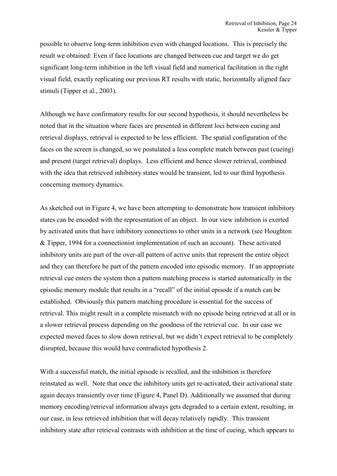possible to observe long-term inhibition even with changed locations. This is precisely the result we obtained: Even if face locations are changed between cue and target we do get significant long-term inhibition in the left visual field and numerical facilitation in the right visual field, exactly replicating our previous RT results with static, horizontally aligned face stimuli (Tipper et al., 2003).

Although we have confirmatory results for our second hypothesis, it should nevertheless be noted that in the situation where faces are presented in different loci between cueing and retrieval displays, retrieval is expected to be less efficient. The spatial configuration of the faces on the screen is changed, so we postulated a less complete match between past (cueing) and present (target retrieval) displays. Less efficient and hence slower retrieval, combined with the idea that retrieved inhibitory states would be transient, led to our third hypothesis concerning memory dynamics.

As sketched out in Figure 4, we have been attempting to demonstrate how transient inhibitory states can be encoded with the representation of an object. In our view inhibition is exerted by activated units that have inhibitory connections to other units in a network (see Houghton & Tipper, 1994 for a connectionist implementation of such an account). These activated inhibitory units are part of the over-all pattern of active units that represent the entire object and they can therefore be part of the pattern encoded into episodic memory. If an appropriate retrieval cue enters the system then a pattern matching process is started automatically in the episodic memory module that results in a "recall" of the initial episode if a match can be established. Obviously this pattern matching procedure is essential for the success of retrieval. This might result in a complete mismatch with no episode being retrieved at all or in a slower retrieval process depending on the goodness of the retrieval cue. In our case we expected moved faces to slow down retrieval, but we didn't expect retrieval to be completely disrupted, because this would have contradicted hypothesis 2.

With a successful match, the initial episode is recalled, and the inhibition is therefore reinstated as well. Note that once the inhibitory units get re-activated, their activational state again decays transiently over time (Figure 4, Panel D). Additionally we assumed that during memory encoding/retrieval information always gets degraded to a certain extent, resulting, in our case, in less retrieved inhibition that will decay relatively rapidly. This transient inhibitory state after retrieval contrasts with inhibition at the time of cueing, which appears to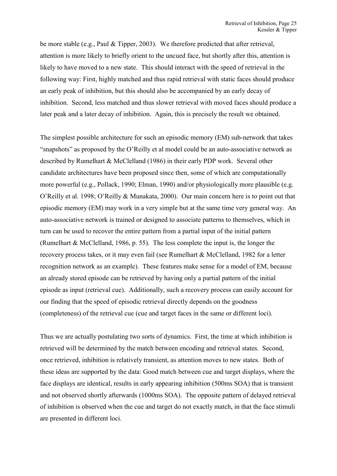be more stable (e.g., Paul & Tipper, 2003). We therefore predicted that after retrieval, attention is more likely to briefly orient to the uncued face, but shortly after this, attention is likely to have moved to a new state. This should interact with the speed of retrieval in the following way: First, highly matched and thus rapid retrieval with static faces should produce an early peak of inhibition, but this should also be accompanied by an early decay of inhibition. Second, less matched and thus slower retrieval with moved faces should produce a later peak and a later decay of inhibition. Again, this is precisely the result we obtained.

The simplest possible architecture for such an episodic memory (EM) sub-network that takes "snapshots" as proposed by the O'Reilly et al model could be an auto-associative network as described by Rumelhart & McClelland (1986) in their early PDP work. Several other candidate architectures have been proposed since then, some of which are computationally more powerful (e.g., Pollack, 1990; Elman, 1990) and/or physiologically more plausible (e.g. O'Reilly et al. 1998; O'Reilly & Munakata, 2000). Our main concern here is to point out that episodic memory (EM) may work in a very simple but at the same time very general way. An auto-associative network is trained or designed to associate patterns to themselves, which in turn can be used to recover the entire pattern from a partial input of the initial pattern (Rumelhart & McClelland, 1986, p. 55). The less complete the input is, the longer the recovery process takes, or it may even fail (see Rumelhart & McClelland, 1982 for a letter recognition network as an example). These features make sense for a model of EM, because an already stored episode can be retrieved by having only a partial pattern of the initial episode as input (retrieval cue). Additionally, such a recovery process can easily account for our finding that the speed of episodic retrieval directly depends on the goodness (completeness) of the retrieval cue (cue and target faces in the same or different loci).

Thus we are actually postulating two sorts of dynamics. First, the time at which inhibition is retrieved will be determined by the match between encoding and retrieval states. Second, once retrieved, inhibition is relatively transient, as attention moves to new states. Both of these ideas are supported by the data: Good match between cue and target displays, where the face displays are identical, results in early appearing inhibition (500ms SOA) that is transient and not observed shortly afterwards (1000ms SOA). The opposite pattern of delayed retrieval of inhibition is observed when the cue and target do not exactly match, in that the face stimuli are presented in different loci.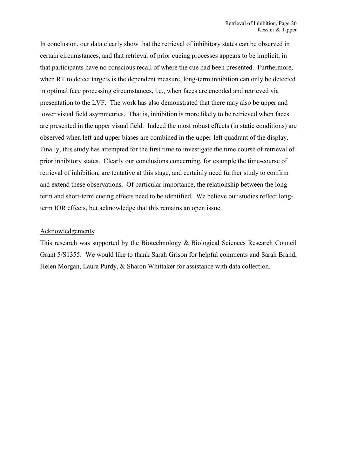In conclusion, our data clearly show that the retrieval of inhibitory states can be observed in certain circumstances, and that retrieval of prior cueing processes appears to be implicit, in that participants have no conscious recall of where the cue had been presented. Furthermore, when RT to detect targets is the dependent measure, long-term inhibition can only be detected in optimal face processing circumstances, i.e., when faces are encoded and retrieved via presentation to the LVF. The work has also demonstrated that there may also be upper and lower visual field asymmetries. That is, inhibition is more likely to be retrieved when faces are presented in the upper visual field. Indeed the most robust effects (in static conditions) are observed when left and upper biases are combined in the upper-left quadrant of the display. Finally, this study has attempted for the first time to investigate the time course of retrieval of prior inhibitory states. Clearly our conclusions concerning, for example the time-course of retrieval of inhibition, are tentative at this stage, and certainly need further study to confirm and extend these observations. Of particular importance, the relationship between the longterm and short-term cueing effects need to be identified. We believe our studies reflect longterm IOR effects, but acknowledge that this remains an open issue.

### Acknowledgements:

This research was supported by the Biotechnology & Biological Sciences Research Council Grant 5/S1355. We would like to thank Sarah Grison for helpful comments and Sarah Brand, Helen Morgan, Laura Purdy, & Sharon Whittaker for assistance with data collection.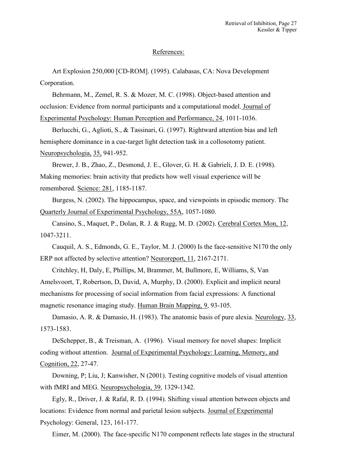#### References:

Art Explosion 250,000 [CD-ROM]. (1995). Calabasas, CA: Nova Development Corporation.

Behrmann, M., Zemel, R. S. & Mozer, M. C. (1998). Object-based attention and occlusion: Evidence from normal participants and a computational model. Journal of Experimental Psychology: Human Perception and Performance, 24, 1011-1036.

Berlucchi, G., Aglioti, S., & Tassinari, G. (1997). Rightward attention bias and left hemisphere dominance in a cue-target light detection task in a collosotomy patient. Neuropsychologia, 35, 941-952.

Brewer, J. B., Zhao, Z., Desmond, J. E., Glover, G. H. & Gabrieli, J. D. E. (1998). Making memories: brain activity that predicts how well visual experience will be remembered. Science: 281, 1185-1187.

Burgess, N. (2002). The hippocampus, space, and viewpoints in episodic memory. The Quarterly Journal of Experimental Psychology, 55A, 1057-1080.

Cansino, S., Maquet, P., Dolan, R. J. & Rugg, M. D. (2002). Cerebral Cortex Mon, 12, 1047-3211.

Cauquil, A. S., Edmonds, G. E., Taylor, M. J. (2000) Is the face-sensitive N170 the only ERP not affected by selective attention? Neuroreport, 11, 2167-2171.

Critchley, H, Daly, E, Phillips, M, Brammer, M, Bullmore, E, Williams, S, Van Amelsvoort, T, Robertson, D, David, A, Murphy, D. (2000). Explicit and implicit neural mechanisms for processing of social information from facial expressions: A functional magnetic resonance imaging study. Human Brain Mapping, 9, 93-105.

Damasio, A. R. & Damasio, H. (1983). The anatomic basis of pure alexia. Neurology, 33, 1573-1583.

DeSchepper, B., & Treisman, A. (1996). Visual memory for novel shapes: Implicit coding without attention. Journal of Experimental Psychology: Learning, Memory, and Cognition, 22, 27-47.

Downing, P; Liu, J; Kanwisher, N (2001). Testing cognitive models of visual attention with fMRI and MEG. Neuropsychologia, 39, 1329-1342.

Egly, R., Driver, J. & Rafal, R. D. (1994). Shifting visual attention between objects and locations: Evidence from normal and parietal lesion subjects. Journal of Experimental Psychology: General, 123, 161-177.

Eimer, M. (2000). The face-specific N170 component reflects late stages in the structural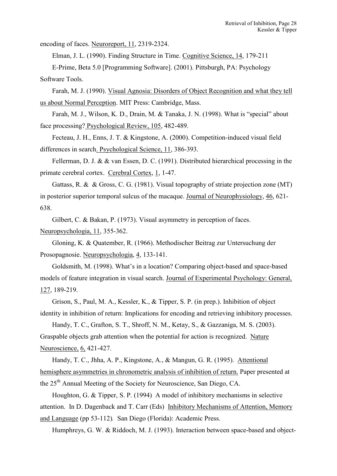encoding of faces. Neuroreport, 11, 2319-2324.

Elman, J. L. (1990). Finding Structure in Time. Cognitive Science, 14, 179-211

E-Prime, Beta 5.0 [Programming Software]. (2001). Pittsburgh, PA: Psychology Software Tools.

Farah, M. J. (1990). Visual Agnosia: Disorders of Object Recognition and what they tell us about Normal Perception. MIT Press: Cambridge, Mass.

Farah, M. J., Wilson, K. D., Drain, M. & Tanaka, J. N. (1998). What is "special" about face processing? Psychological Review, 105, 482-489.

Fecteau, J. H., Enns, J. T. & Kingstone, A. (2000). Competition-induced visual field differences in search. Psychological Science, 11, 386-393.

Fellerman, D. J. & & van Essen, D. C. (1991). Distributed hierarchical processing in the primate cerebral cortex. Cerebral Cortex, 1, 1-47.

Gattass, R. & & Gross, C. G. (1981). Visual topography of striate projection zone (MT) in posterior superior temporal sulcus of the macaque. Journal of Neurophysiology, 46, 621- 638.

Gilbert, C. & Bakan, P. (1973). Visual asymmetry in perception of faces.

Neuropsychologia, 11, 355-362.

Gloning, K. & Quatember, R. (1966). Methodischer Beitrag zur Untersuchung der Prosopagnosie. Neuropsychologia, 4, 133-141.

Goldsmith, M. (1998). What's in a location? Comparing object-based and space-based models of feature integration in visual search. Journal of Experimental Psychology: General, 127, 189-219.

Grison, S., Paul, M. A., Kessler, K., & Tipper, S. P. (in prep.). Inhibition of object identity in inhibition of return: Implications for encoding and retrieving inhibitory processes.

Handy, T. C., Grafton, S. T., Shroff, N. M., Ketay, S., & Gazzaniga, M. S. (2003). Graspable objects grab attention when the potential for action is recognized. Nature Neuroscience, 6, 421-427.

Handy, T. C., Jhha, A. P., Kingstone, A., & Mangun, G. R. (1995). Attentional hemisphere asymmetries in chronometric analysis of inhibition of return. Paper presented at the 25th Annual Meeting of the Society for Neuroscience, San Diego, CA.

Houghton, G. & Tipper, S. P. (1994) A model of inhibitory mechanisms in selective attention. In D. Dagenback and T. Carr (Eds) Inhibitory Mechanisms of Attention, Memory and Language (pp 53-112)*.* San Diego (Florida): Academic Press.

Humphreys, G. W. & Riddoch, M. J. (1993). Interaction between space-based and object-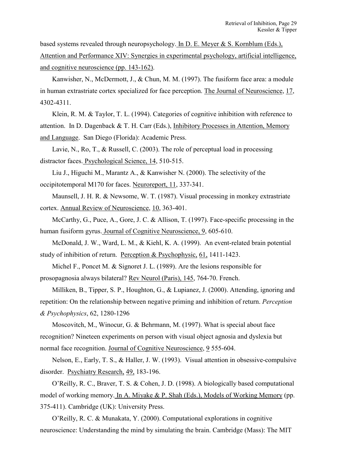based systems revealed through neuropsychology. In D. E. Meyer & S. Kornblum (Eds.), Attention and Performance XIV: Synergies in experimental psychology, artificial intelligence, and cognitive neuroscience (pp. 143-162).

Kanwisher, N., McDermott, J., & Chun, M. M. (1997). The fusiform face area: a module in human extrastriate cortex specialized for face perception. The Journal of Neuroscience, 17, 4302-4311.

Klein, R. M. & Taylor, T. L. (1994). Categories of cognitive inhibition with reference to attention. In D. Dagenback & T. H. Carr (Eds.), Inhibitory Processes in Attention, Memory and Language. San Diego (Florida): Academic Press.

Lavie, N., Ro, T., & Russell, C. (2003). The role of perceptual load in processing distractor faces. Psychological Science, 14, 510-515.

Liu J., Higuchi M., Marantz A., & Kanwisher N. (2000). The selectivity of the occipitotemporal M170 for faces. Neuroreport, 11, 337-341.

Maunsell, J. H. R. & Newsome, W. T. (1987). Visual processing in monkey extrastriate cortex. Annual Review of Neuroscience, 10, 363-401.

McCarthy, G., Puce, A., Gore, J. C. & Allison, T. (1997). Face-specific processing in the human fusiform gyrus. Journal of Cognitive Neuroscience, 9, 605-610.

McDonald, J. W., Ward, L. M., & Kiehl, K. A. (1999). An event-related brain potential study of inhibition of return. Perception & Psychophysic, 61, 1411-1423.

Michel F., Poncet M. & Signoret J. L. (1989). Are the lesions responsible for prosopagnosia always bilateral? Rev Neurol (Paris), 145, 764-70. French.

Milliken, B., Tipper, S. P., Houghton, G., & Lupianez, J. (2000). Attending, ignoring and repetition: On the relationship between negative priming and inhibition of return. *Perception & Psychophysics*, 62, 1280-1296

Moscovitch, M., Winocur, G. & Behrmann, M. (1997). What is special about face recognition? Nineteen experiments on person with visual object agnosia and dyslexia but normal face recognition. Journal of Cognitive Neuroscience, 9 555-604.

Nelson, E., Early, T. S., & Haller, J. W. (1993). Visual attention in obsessive-compulsive disorder. Psychiatry Research, 49, 183-196.

O'Reilly, R. C., Braver, T. S. & Cohen, J. D. (1998). A biologically based computational model of working memory. In A. Miyake & P. Shah (Eds.), Models of Working Memory (pp. 375-411). Cambridge (UK): University Press.

O'Reilly, R. C. & Munakata, Y. (2000). Computational explorations in cognitive neuroscience: Understanding the mind by simulating the brain. Cambridge (Mass): The MIT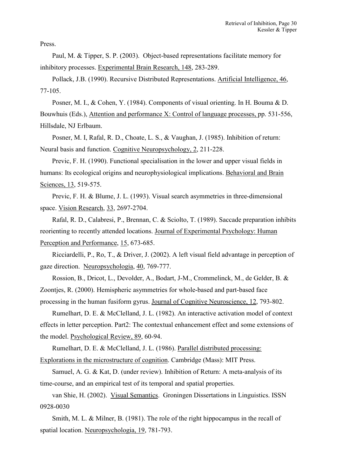Press.

Paul, M. & Tipper, S. P. (2003). Object-based representations facilitate memory for inhibitory processes. Experimental Brain Research, 148, 283-289.

Pollack, J.B. (1990). Recursive Distributed Representations. Artificial Intelligence, 46, 77-105.

Posner, M. I., & Cohen, Y. (1984). Components of visual orienting. In H. Bouma & D. Bouwhuis (Eds.), Attention and performance X: Control of language processes, pp. 531-556, Hillsdale, NJ Erlbaum.

Posner, M. I, Rafal, R. D., Choate, L. S., & Vaughan, J. (1985). Inhibition of return: Neural basis and function. Cognitive Neuropsychology, 2, 211-228.

Previc, F. H. (1990). Functional specialisation in the lower and upper visual fields in humans: Its ecological origins and neurophysiological implications. Behavioral and Brain Sciences, 13, 519-575.

Previc, F. H. & Blume, J. L. (1993). Visual search asymmetries in three-dimensional space. Vision Research, 33, 2697-2704.

Rafal, R. D., Calabresi, P., Brennan, C. & Sciolto, T. (1989). Saccade preparation inhibits reorienting to recently attended locations. Journal of Experimental Psychology: Human Perception and Performance, 15, 673-685.

Ricciardelli, P., Ro, T., & Driver, J. (2002). A left visual field advantage in perception of gaze direction. Neuropsychologia, 40, 769-777.

Rossion, B., Dricot, L., Devolder, A., Bodart, J-M., Crommelinck, M., de Gelder, B. & Zoonties, R. (2000). Hemispheric asymmetries for whole-based and part-based face processing in the human fusiform gyrus. Journal of Cognitive Neuroscience, 12, 793-802.

Rumelhart, D. E. & McClelland, J. L. (1982). An interactive activation model of context effects in letter perception. Part2: The contextual enhancement effect and some extensions of the model. Psychological Review, 89, 60-94.

Rumelhart, D. E. & McClelland, J. L. (1986). Parallel distributed processing: Explorations in the microstructure of cognition. Cambridge (Mass): MIT Press.

Samuel, A. G. & Kat, D. (under review). Inhibition of Return: A meta-analysis of its time-course, and an empirical test of its temporal and spatial properties.

van Shie, H. (2002). Visual Semantics. Groningen Dissertations in Linguistics. ISSN 0928-0030

Smith, M. L. & Milner, B. (1981). The role of the right hippocampus in the recall of spatial location. Neuropsychologia, 19, 781-793.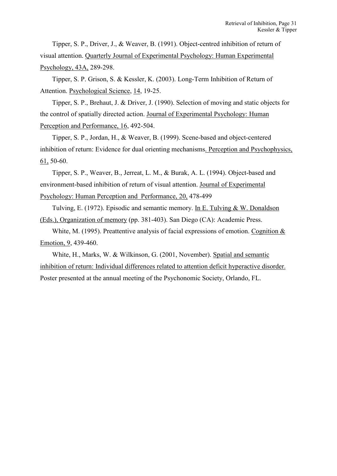Tipper, S. P., Driver, J., & Weaver, B. (1991). Object-centred inhibition of return of visual attention. Quarterly Journal of Experimental Psychology: Human Experimental Psychology, 43A, 289-298.

Tipper, S. P. Grison, S. & Kessler, K. (2003). Long-Term Inhibition of Return of Attention. Psychological Science, 14, 19-25.

Tipper, S. P., Brehaut, J. & Driver, J. (1990). Selection of moving and static objects for the control of spatially directed action. Journal of Experimental Psychology: Human Perception and Performance, 16, 492-504.

Tipper, S. P., Jordan, H., & Weaver, B. (1999). Scene-based and object-centered inhibition of return: Evidence for dual orienting mechanisms. Perception and Psychophysics, 61, 50-60.

Tipper, S. P., Weaver, B., Jerreat, L. M., & Burak, A. L. (1994). Object-based and environment-based inhibition of return of visual attention. Journal of Experimental Psychology: Human Perception and Performance, 20, 478-499

Tulving, E. (1972). Episodic and semantic memory. In E. Tulving & W. Donaldson (Eds.), Organization of memory (pp. 381-403). San Diego (CA): Academic Press.

White, M. (1995). Preattentive analysis of facial expressions of emotion. Cognition  $\&$ Emotion, 9, 439-460.

White, H., Marks, W. & Wilkinson, G. (2001, November). Spatial and semantic inhibition of return: Individual differences related to attention deficit hyperactive disorder. Poster presented at the annual meeting of the Psychonomic Society, Orlando, FL.